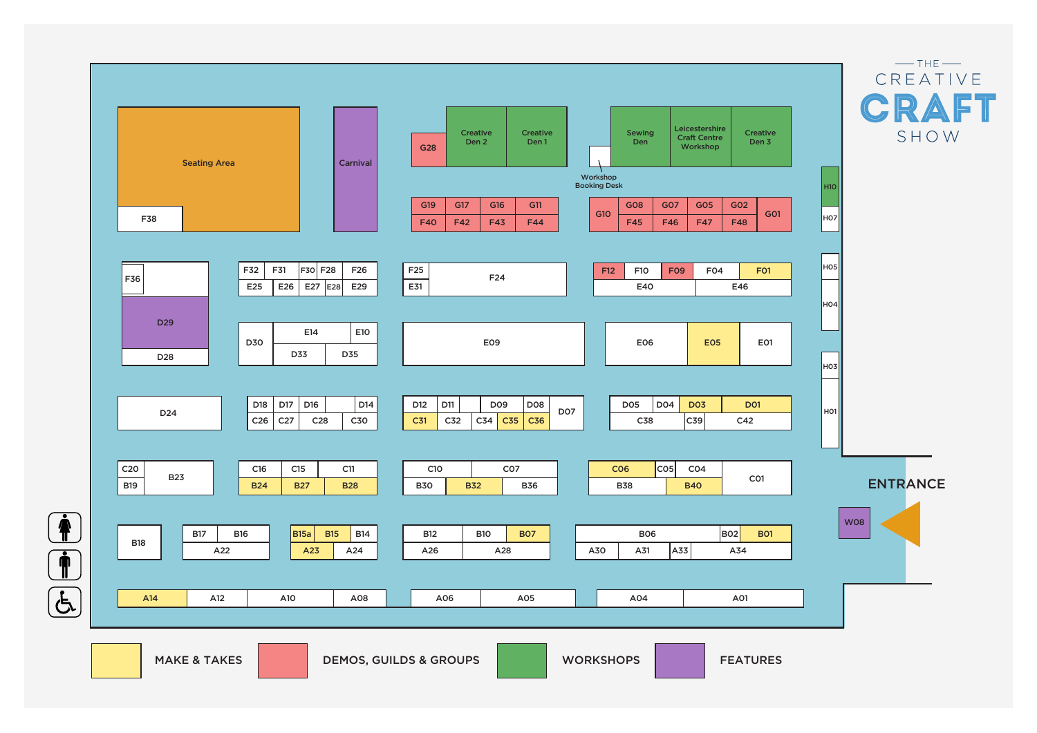